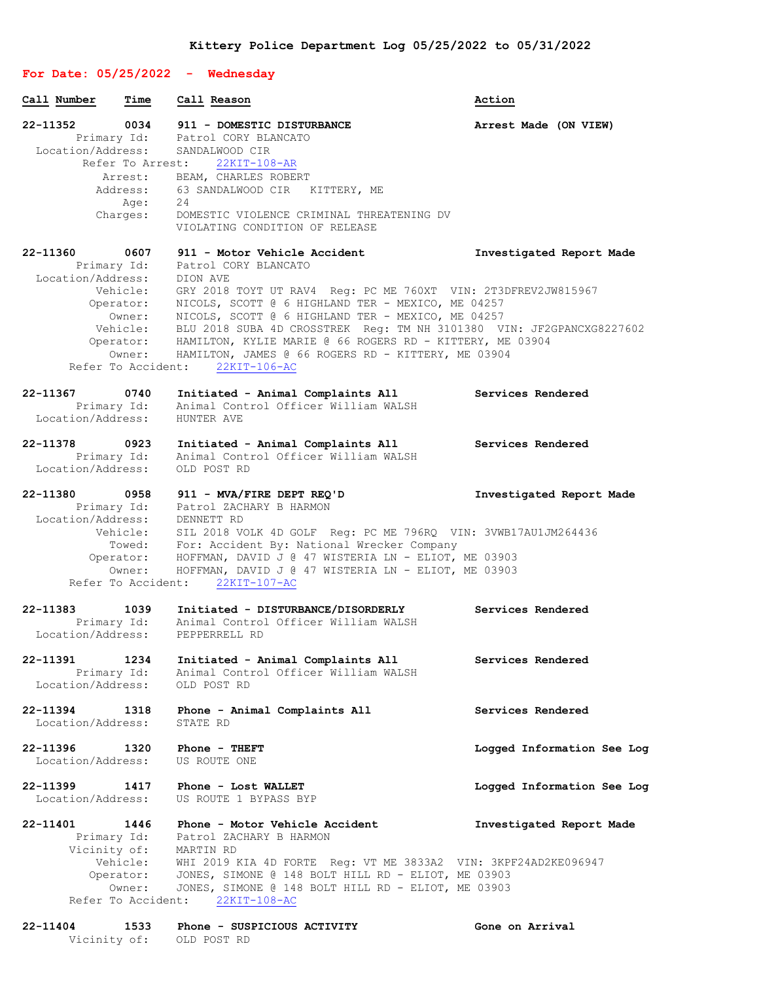## **For Date: 05/25/2022 - Wednesday Call Number Time Call Reason Action 22-11352 0034 911 - DOMESTIC DISTURBANCE Arrest Made (ON VIEW)** Primary Id: Patrol CORY BLANCATO Location/Address: SANDALWOOD CIR Refer To Arrest: 22KIT-108-AR Arrest: BEAM, CHARLES ROBERT Address: 63 SANDALWOOD CIR KITTERY, ME Age: 24 Charges: DOMESTIC VIOLENCE CRIMINAL THREATENING DV VIOLATING CONDITION OF RELEASE **22-11360 0607 911 - Motor Vehicle Accident Investigated Report Made** Primary Id: Patrol CORY BLANCATO Location/Address: DION AVE Vehicle: GRY 2018 TOYT UT RAV4 Reg: PC ME 760XT VIN: 2T3DFREV2JW815967 Operator: NICOLS, SCOTT @ 6 HIGHLAND TER - MEXICO, ME 04257 Owner: NICOLS, SCOTT @ 6 HIGHLAND TER - MEXICO, ME 04257 Vehicle: BLU 2018 SUBA 4D CROSSTREK Reg: TM NH 3101380 VIN: JF2GPANCXG8227602 Operator: HAMILTON, KYLIE MARIE @ 66 ROGERS RD - KITTERY, ME 03904 Owner: HAMILTON, JAMES @ 66 ROGERS RD - KITTERY, ME 03904 Refer To Accident: 22KIT-106-AC **22-11367 0740 Initiated - Animal Complaints All Services Rendered** Primary Id: Animal Control Officer William WALSH Location/Address: HUNTER AVE **22-11378 0923 Initiated - Animal Complaints All Services Rendered** Primary Id: Animal Control Officer William WALSH Location/Address: OLD POST RD **22-11380 0958 911 - MVA/FIRE DEPT REQ'D Investigated Report Made** Primary Id: Patrol ZACHARY B HARMON Location/Address: DENNETT RD Vehicle: SIL 2018 VOLK 4D GOLF Reg: PC ME 796RQ VIN: 3VWB17AU1JM264436 Towed: For: Accident By: National Wrecker Company Operator: HOFFMAN, DAVID J @ 47 WISTERIA LN - ELIOT, ME 03903 Owner: HOFFMAN, DAVID J @ 47 WISTERIA LN - ELIOT, ME 03903 Refer To Accident: 22KIT-107-AC **22-11383 1039 Initiated - DISTURBANCE/DISORDERLY Services Rendered** Primary Id: Animal Control Officer William WALSH Location/Address: PEPPERRELL RD **22-11391 1234 Initiated - Animal Complaints All Services Rendered** Primary Id: Animal Control Officer William WALSH Location/Address: OLD POST RD **22-11394 1318 Phone - Animal Complaints All Services Rendered** Location/Address: STATE RD **22-11396 1320 Phone - THEFT Logged Information See Log** Location/Address: US ROUTE ONE **22-11399 1417 Phone - Lost WALLET Logged Information See Log** US ROUTE 1 BYPASS BYP **22-11401 1446 Phone - Motor Vehicle Accident Investigated Report Made** Primary Id: Patrol ZACHARY B HARMON Vicinity of: MARTIN RD Vehicle: WHI 2019 KIA 4D FORTE Reg: VT ME 3833A2 VIN: 3KPF24AD2KE096947 Operator: JONES, SIMONE @ 148 BOLT HILL RD - ELIOT, ME 03903 Owner: JONES, SIMONE @ 148 BOLT HILL RD - ELIOT, ME 03903 Refer To Accident: 22KIT-108-AC

## **22-11404 1533 Phone - SUSPICIOUS ACTIVITY Gone on Arrival** Vicinity of: OLD POST RD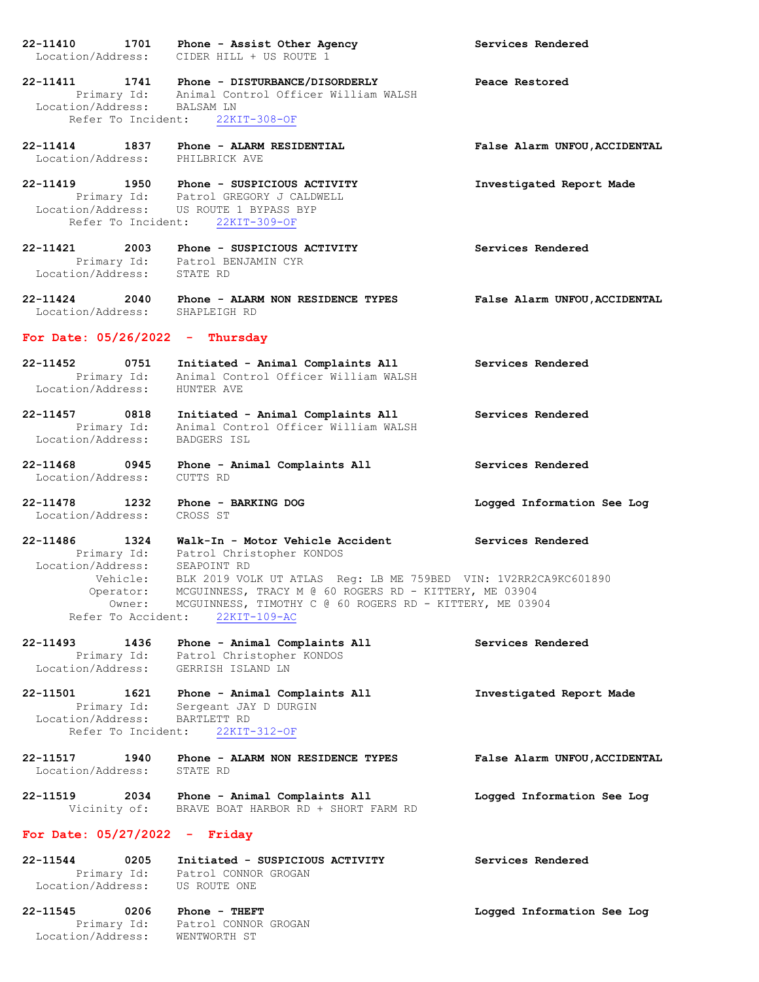**22-11410 1701 Phone - Assist Other Agency Services Rendered** Location/Address: CIDER HILL + US ROUTE 1 **22-11411 1741 Phone - DISTURBANCE/DISORDERLY Peace Restored** Primary Id: Animal Control Officer William WALSH Location/Address: BALSAM LN Refer To Incident: 22KIT-308-OF **22-11414 1837 Phone - ALARM RESIDENTIAL False Alarm UNFOU,ACCIDENTAL** Location/Address: **22-11419 1950 Phone - SUSPICIOUS ACTIVITY Investigated Report Made** Primary Id: Patrol GREGORY J CALDWELL Location/Address: US ROUTE 1 BYPASS BYP Refer To Incident: 22KIT-309-OF **22-11421 2003 Phone - SUSPICIOUS ACTIVITY Services Rendered** Primary Id: Patrol BENJAMIN CYR Location/Address: STATE RD **22-11424 2040 Phone - ALARM NON RESIDENCE TYPES False Alarm UNFOU,ACCIDENTAL** Location/Address: SHAPLEIGH RD **For Date: 05/26/2022 - Thursday 22-11452 0751 Initiated - Animal Complaints All Services Rendered** Primary Id: Animal Control Officer William WALSH Location/Address: HUNTER AVE **22-11457 0818 Initiated - Animal Complaints All Services Rendered** Primary Id: Animal Control Officer William WALSH Location/Address: BADGERS ISL **22-11468 0945 Phone - Animal Complaints All Services Rendered** Location/Address: CUTTS RD **22-11478 1232 Phone - BARKING DOG Logged Information See Log** Location/Address: CROSS ST **22-11486 1324 Walk-In - Motor Vehicle Accident Services Rendered** Primary Id: Patrol Christopher KONDOS Location/Address: SEAPOINT RD Vehicle: BLK 2019 VOLK UT ATLAS Reg: LB ME 759BED VIN: 1V2RR2CA9KC601890 Operator: MCGUINNESS, TRACY M @ 60 ROGERS RD - KITTERY, ME 03904 Owner: MCGUINNESS, TIMOTHY C @ 60 ROGERS RD - KITTERY, ME 03904 Refer To Accident: 22KIT-109-AC **22-11493 1436 Phone - Animal Complaints All Services Rendered** Primary Id: Patrol Christopher KONDOS Location/Address: GERRISH ISLAND LN **22-11501 1621 Phone - Animal Complaints All Investigated Report Made** Primary Id: Sergeant JAY D DURGIN Location/Address: BARTLETT RD Refer To Incident: 22KIT-312-OF **22-11517 1940 Phone - ALARM NON RESIDENCE TYPES False Alarm UNFOU,ACCIDENTAL** Location/Address: **22-11519 2034 Phone - Animal Complaints All Logged Information See Log** Vicinity of: BRAVE BOAT HARBOR RD + SHORT FARM RD **For Date: 05/27/2022 - Friday 22-11544 0205 Initiated - SUSPICIOUS ACTIVITY Services Rendered** Primary Id: Patrol CONNOR GROGAN Location/Address: US ROUTE ONE

**22-11545 0206 Phone - THEFT Logged Information See Log** Primary Id: Patrol CONNOR GROGAN Location/Address: WENTWORTH ST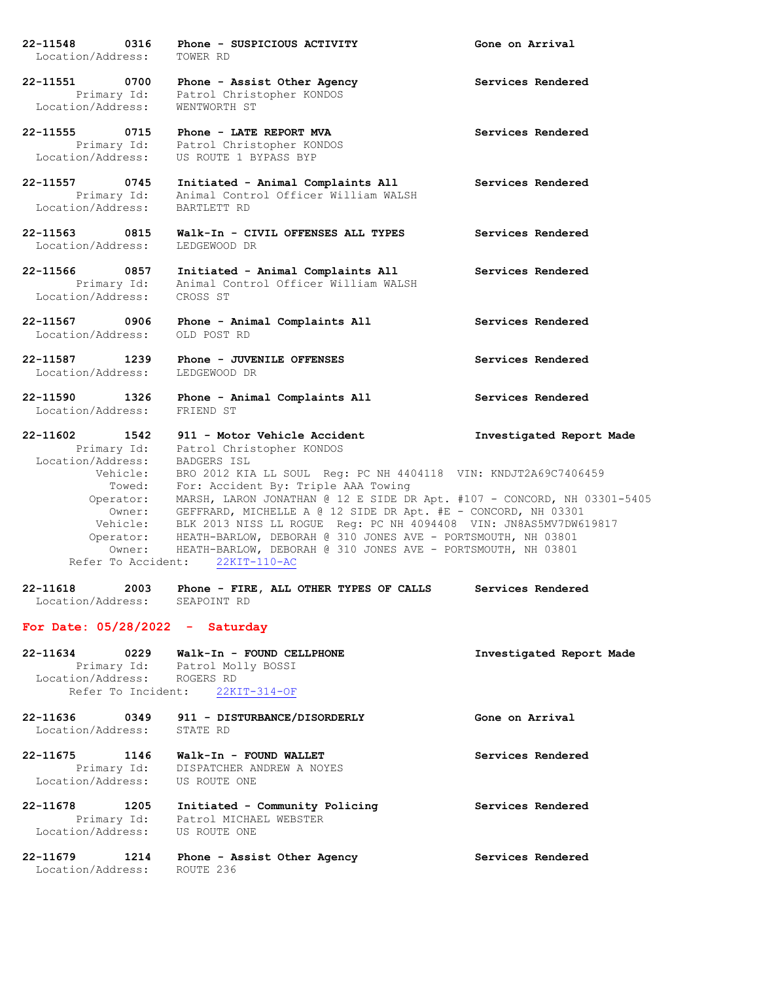**22-11548 0316 Phone - SUSPICIOUS ACTIVITY Gone on Arrival** Location/Address: TOWER RD **22-11551 0700 Phone - Assist Other Agency Services Rendered** Primary Id: Patrol Christopher KONDOS Location/Address: WENTWORTH ST **22-11555 0715 Phone - LATE REPORT MVA Services Rendered** Primary Id: Patrol Christopher KONDOS Location/Address: US ROUTE 1 BYPASS BYP **22-11557 0745 Initiated - Animal Complaints All Services Rendered** Primary Id: Animal Control Officer William WALSH Location/Address: BARTLETT RD **22-11563 0815 Walk-In - CIVIL OFFENSES ALL TYPES Services Rendered** Location/Address: LEDGEWOOD DR **22-11566 0857 Initiated - Animal Complaints All Services Rendered** Primary Id: Animal Control Officer William WALSH Location/Address: CROSS ST **22-11567 0906 Phone - Animal Complaints All Services Rendered** Location/Address: OLD POST RD **22-11587 1239 Phone - JUVENILE OFFENSES Services Rendered** Location/Address: LEDGEWOOD DR **22-11590 1326 Phone - Animal Complaints All Services Rendered** Location/Address: FRIEND ST **22-11602 1542 911 - Motor Vehicle Accident Investigated Report Made** Primary Id: Patrol Christopher KONDOS Location/Address: BADGERS ISL Vehicle: BRO 2012 KIA LL SOUL Reg: PC NH 4404118 VIN: KNDJT2A69C7406459 Towed: For: Accident By: Triple AAA Towing Operator: MARSH, LARON JONATHAN @ 12 E SIDE DR Apt. #107 - CONCORD, NH 03301-5405 Owner: GEFFRARD, MICHELLE A @ 12 SIDE DR Apt. #E - CONCORD, NH 03301 Vehicle: BLK 2013 NISS LL ROGUE Reg: PC NH 4094408 VIN: JN8AS5MV7DW619817 Operator: HEATH-BARLOW, DEBORAH @ 310 JONES AVE - PORTSMOUTH, NH 03801 Owner: HEATH-BARLOW, DEBORAH @ 310 JONES AVE - PORTSMOUTH, NH 03801 Refer To Accident: 22KIT-110-AC **22-11618 2003 Phone - FIRE, ALL OTHER TYPES OF CALLS Services Rendered** Location/Address: SEAPOINT RD

## **For Date: 05/28/2022 - Saturday**

| 0229<br>22-11634<br>Location/Address: ROGERS RD | Walk-In - FOUND CELLPHONE<br>Primary Id: Patrol Molly BOSSI<br>Refer To Incident: 22KIT-314-OF         | Investigated Report Made |
|-------------------------------------------------|--------------------------------------------------------------------------------------------------------|--------------------------|
| 22-11636<br>Location/Address: STATE RD          | 0349 911 - DISTURBANCE/DISORDERLY                                                                      | Gone on Arrival          |
| 22-11675<br>1146                                | Walk-In - FOUND WALLET<br>Primary Id: DISPATCHER ANDREW A NOYES<br>Location/Address: US ROUTE ONE      | Services Rendered        |
| 22-11678<br>1205                                | Initiated - Community Policing<br>Primary Id: Patrol MICHAEL WEBSTER<br>Location/Address: US ROUTE ONE | Services Rendered        |
| 22-11679<br>1214<br>Location/Address:           | Phone - Assist Other Agency<br>ROUTE 236                                                               | Services Rendered        |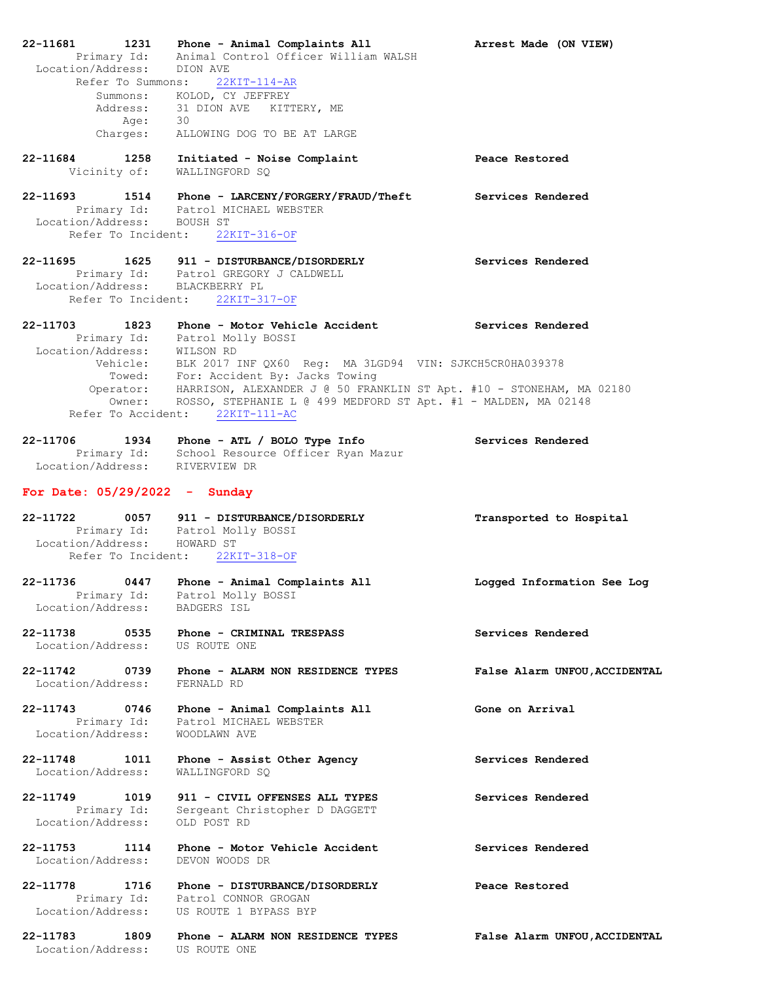| 22-11681<br>1231<br>Primary Id:<br>Location/Address:  | Phone - Animal Complaints All<br>Animal Control Officer William WALSH<br>DION AVE                                                                                                          | Arrest Made (ON VIEW)         |
|-------------------------------------------------------|--------------------------------------------------------------------------------------------------------------------------------------------------------------------------------------------|-------------------------------|
| Summons:<br>Age:                                      | Refer To Summons: 22KIT-114-AR<br>KOLOD, CY JEFFREY<br>Address: 31 DION AVE KITTERY, ME<br>30                                                                                              |                               |
| Charges:                                              | ALLOWING DOG TO BE AT LARGE                                                                                                                                                                |                               |
| 22-11684<br>Vicinity of:                              | 1258 Initiated - Noise Complaint<br>WALLINGFORD SO                                                                                                                                         | Peace Restored                |
| 22-11693<br>Location/Address: BOUSH ST                | 1514 Phone - LARCENY/FORGERY/FRAUD/Theft Services Rendered<br>Primary Id: Patrol MICHAEL WEBSTER<br>Refer To Incident: 22KIT-316-OF                                                        |                               |
|                                                       |                                                                                                                                                                                            | Services Rendered             |
| Location/Address: BLACKBERRY PL<br>Refer To Incident: | 22-11695 1625 911 - DISTURBANCE/DISORDERLY<br>Primary Id: Patrol GREGORY J CALDWELL<br>22KIT-317-OF                                                                                        |                               |
| 22-11703<br>1823                                      | Phone - Motor Vehicle Accident<br>Primary Id: Patrol Molly BOSSI                                                                                                                           | Services Rendered             |
| Location/Address: WILSON RD<br>Vehicle:               | BLK 2017 INF QX60 Reg: MA 3LGD94 VIN: SJKCH5CR0HA039378<br>Towed: For: Accident By: Jacks Towing                                                                                           |                               |
|                                                       | Operator: HARRISON, ALEXANDER J @ 50 FRANKLIN ST Apt. #10 - STONEHAM, MA 02180<br>Owner: ROSSO, STEPHANIE L @ 499 MEDFORD ST Apt. #1 - MALDEN, MA 02148<br>Refer To Accident: 22KIT-111-AC |                               |
| 22-11706<br>1934                                      | Phone - ATL / BOLO Type Info<br>Primary Id: School Resource Officer Ryan Mazur<br>Location/Address: RIVERVIEW DR                                                                           | Services Rendered             |
|                                                       |                                                                                                                                                                                            |                               |
| For Date: $05/29/2022 -$ Sunday                       |                                                                                                                                                                                            |                               |
| 22-11722                                              | 0057 911 - DISTURBANCE/DISORDERLY<br>Primary Id: Patrol Molly BOSSI                                                                                                                        | Transported to Hospital       |
| Location/Address: HOWARD ST                           | Refer To Incident: 22KIT-318-OF                                                                                                                                                            |                               |
| 22-11736<br>0447<br>Location/Address:                 | Phone - Animal Complaints All<br>Primary Id: Patrol Molly BOSSI<br>.on/Address: BADGERS ISL                                                                                                | Logged Information See Log    |
| Location/Address: US ROUTE ONE                        | 22-11738 0535 Phone - CRIMINAL TRESPASS                                                                                                                                                    | Services Rendered             |
| 22-11742 0739<br>Location/Address:                    | Phone - ALARM NON RESIDENCE TYPES<br>FERNALD RD                                                                                                                                            | False Alarm UNFOU, ACCIDENTAL |
| 22-11743<br>0746<br>Primary Id:<br>Location/Address:  | Phone - Animal Complaints All<br>Patrol MICHAEL WEBSTER<br>WOODLAWN AVE                                                                                                                    | Gone on Arrival               |
| 22-11748 1011<br>Location/Address:                    | Phone - Assist Other Agency<br>WALLINGFORD SQ                                                                                                                                              | Services Rendered             |
| 22-11749<br>1019<br>Primary Id:<br>Location/Address:  | 911 - CIVIL OFFENSES ALL TYPES<br>Sergeant Christopher D DAGGETT<br>OLD POST RD                                                                                                            | Services Rendered             |
| 22-11753 1114<br>Location/Address:                    | Phone - Motor Vehicle Accident<br>DEVON WOODS DR                                                                                                                                           | Services Rendered             |
| 22-11778                                              | 3 1716 Phone - DISTURBANCE/DISORDERLY<br>Primary Id: Patrol CONNOR GROGAN<br>Location/Address: US ROUTE 1 BYPASS BYP                                                                       | Peace Restored                |
| 22-11783<br>1809<br>Location/Address:                 | Phone - ALARM NON RESIDENCE TYPES<br>US ROUTE ONE                                                                                                                                          | False Alarm UNFOU, ACCIDENTAL |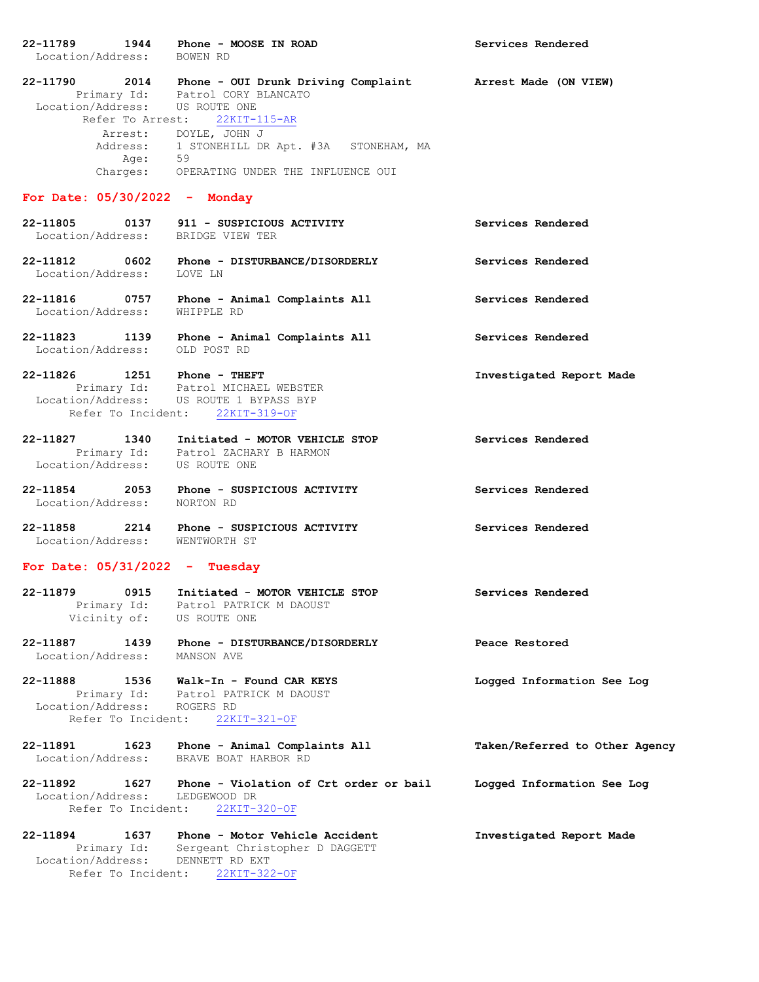| 22-11789<br>Location/Address: BOWEN RD       | 1944 Phone - MOOSE IN ROAD                                                                                                                                                                                                                                           | Services Rendered              |
|----------------------------------------------|----------------------------------------------------------------------------------------------------------------------------------------------------------------------------------------------------------------------------------------------------------------------|--------------------------------|
| Location/Address: US ROUTE ONE<br>Age: 59    | 22-11790 2014 Phone - OUI Drunk Driving Complaint Arrest Made (ON VIEW)<br>Primary Id: Patrol CORY BLANCATO<br>Refer To Arrest: 22KIT-115-AR<br>Arrest: DOYLE, JOHN J<br>Address: 1 STONEHILL DR Apt. #3A STONEHAM, MA<br>Charges: OPERATING UNDER THE INFLUENCE OUI |                                |
| For Date: $05/30/2022 -$ Monday              |                                                                                                                                                                                                                                                                      |                                |
| Location/Address: BRIDGE VIEW TER            |                                                                                                                                                                                                                                                                      | Services Rendered              |
| Location/Address: LOVE LN                    | 22-11812 0602 Phone - DISTURBANCE/DISORDERLY                                                                                                                                                                                                                         | Services Rendered              |
|                                              | 22-11816 0757 Phone - Animal Complaints All<br>Location/Address: WHIPPLE RD                                                                                                                                                                                          | Services Rendered              |
| Location/Address: OLD POST RD                | 22-11823 1139 Phone - Animal Complaints All                                                                                                                                                                                                                          | Services Rendered              |
| 22-11826 1251 Phone - THEFT                  | Primary Id: Patrol MICHAEL WEBSTER<br>Location/Address: US ROUTE 1 BYPASS BYP<br>Refer To Incident: 22KIT-319-OF                                                                                                                                                     | Investigated Report Made       |
| Location/Address: US ROUTE ONE               | 22-11827 1340 Initiated - MOTOR VEHICLE STOP<br>Primary Id: Patrol ZACHARY B HARMON                                                                                                                                                                                  | Services Rendered              |
| Location/Address:                            | 22-11854 2053 Phone - SUSPICIOUS ACTIVITY<br>NORTON RD                                                                                                                                                                                                               | Services Rendered              |
| Location/Address: WENTWORTH ST               | 22-11858 2214 Phone - SUSPICIOUS ACTIVITY                                                                                                                                                                                                                            | Services Rendered              |
| For Date: $05/31/2022 - Tuesday$             |                                                                                                                                                                                                                                                                      |                                |
| 22-11879<br>Vicinity of: US ROUTE ONE        | 0915 Initiated - MOTOR VEHICLE STOP<br>Primary Id: Patrol PATRICK M DAOUST                                                                                                                                                                                           | Services Rendered              |
| 22-11887<br>1439<br>Location/Address:        | Phone - DISTURBANCE/DISORDERLY<br>MANSON AVE                                                                                                                                                                                                                         | Peace Restored                 |
| Location/Address: ROGERS RD                  | 22-11888   1536   Walk-In - Found CAR KEYS<br>Primary Id: Patrol PATRICK M DAOUST<br>Refer To Incident: 22KIT-321-OF                                                                                                                                                 | Logged Information See Log     |
| 22-11891<br>Location/Address:                | 1623 Phone - Animal Complaints All<br>BRAVE BOAT HARBOR RD                                                                                                                                                                                                           | Taken/Referred to Other Agency |
| Location/Address:                            | 22-11892 1627 Phone - Violation of Crt order or bail<br>LEDGEWOOD DR<br>Refer To Incident: 22KIT-320-OF                                                                                                                                                              | Logged Information See Log     |
| 22-11894<br>Primary Id:<br>Location/Address: | 1637 Phone - Motor Vehicle Accident<br>Sergeant Christopher D DAGGETT<br>DENNETT RD EXT<br>Refer To Incident: 22KIT-322-OF                                                                                                                                           | Investigated Report Made       |